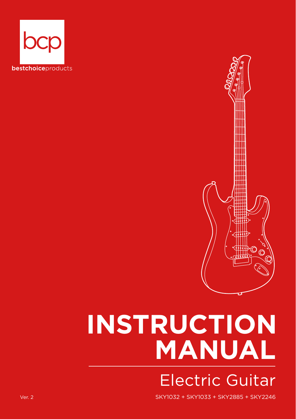



# **INSTRUCTION MANUAL** Electric Guitar

Ver. 2 SKY1032 + SKY1033 + SKY2885 + SKY2246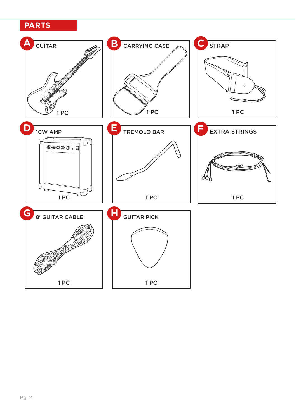# **PARTS**

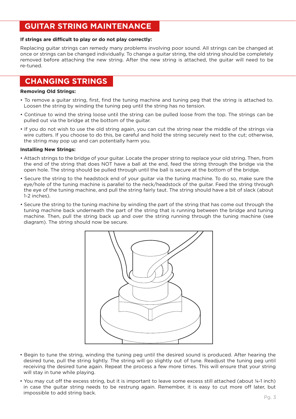# **GUITAR STRING MAINTENANCE**

#### If strings are difficult to play or do not play correctly:

Replacing guitar strings can remedy many problems involving poor sound. All strings can be changed at once or strings can be changed individually. To change a guitar string, the old string should be completely removed before attaching the new string. After the new string is attached, the guitar will need to be re-tuned.

# **CHANGING STRINGS**

#### **Removing Old Strings:**

- To remove a guitar string, first, find the tuning machine and tuning peg that the string is attached to. Loosen the string by winding the tuning peg until the string has no tension.
- Continue to wind the string loose until the string can be pulled loose from the top. The strings can be pulled out via the bridge at the bottom of the guitar.
- If you do not wish to use the old string again, you can cut the string near the middle of the strings via wire cutters. If you choose to do this, be careful and hold the string securely next to the cut; otherwise, the string may pop up and can potentially harm you.

#### **Installing New Strings:**

- Attach strings to the bridge of your guitar. Locate the proper string to replace your old string. Then, from the end of the string that does NOT have a ball at the end, feed the string through the bridge via the open hole. The string should be pulled through until the ball is secure at the bottom of the bridge.
- Secure the string to the headstock end of your guitar via the tuning machine. To do so, make sure the eye/hole of the tuning machine is parallel to the neck/headstock of the guitar. Feed the string through the eye of the tuning machine, and pull the string fairly taut. The string should have a bit of slack (about 1-2 inches).
- Secure the string to the tuning machine by winding the part of the string that has come out through the tuning machine back underneath the part of the string that is running between the bridge and tuning machine. Then, pull the string back up and over the string running through the tuning machine (see diagram). The string should now be secure.



- Begin to tune the string, winding the tuning peg until the desired sound is produced. After hearing the desired tune, pull the string lightly. The string will go slightly out of tune. Readjust the tuning peg until receiving the desired tune again. Repeat the process a few more times. This will ensure that your string will stay in tune while playing.
- You may cut off the excess string, but it is important to leave some excess still attached (about 1/4-1 inch) in case the guitar string needs to be restrung again. Remember, it is easy to cut more off later, but impossible to add string back.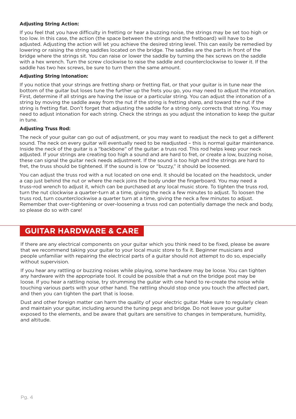#### **Adjusting String Action:**

If you feel that you have difficulty in fretting or hear a buzzing noise, the strings may be set too high or too low. In this case, the action (the space between the strings and the fretboard) will have to be adjusted. Adjusting the action will let you achieve the desired string level. This can easily be remedied by lowering or raising the string saddles located on the bridge. The saddles are the parts in front of the bridge where the strings sit. You can raise or lower the saddle by turning the hex screws on the saddle with a hex wrench. Turn the screw clockwise to raise the saddle and counterclockwise to lower it. If the saddle has two hex screws, be sure to turn them the same amount.

#### **Adjusting String Intonation:**

If you notice that your strings are fretting sharp or fretting flat, or that your guitar is in tune near the bottom of the guitar but loses tune the further up the frets you go, you may need to adjust the intonation. First, determine if all strings are having the issue or a particular string. You can adjust the intonation of a string by moving the saddle away from the nut if the string is fretting sharp, and toward the nut if the string is fretting flat. Don't forget that adjusting the saddle for a string only corrects that string. You may need to adjust intonation for each string. Check the strings as you adjust the intonation to keep the guitar in tune.

#### **Adjusting Truss Rod:**

The neck of your guitar can go out of adjustment, or you may want to readjust the neck to get a different sound. The neck on every quitar will eventually need to be readiusted - this is normal quitar maintenance. Inside the neck of the guitar is a "backbone" of the guitar: a truss rod. This rod helps keep your neck adjusted. If your strings are creating too high a sound and are hard to fret, or create a low, buzzing noise, these can signal the guitar neck needs adjustment. If the sound is too high and the strings are hard to fret, the truss should be tightened. If the sound is low or "buzzy," it should be loosened.

You can adjust the truss rod with a nut located on one end. It should be located on the headstock, under a cap just behind the nut or where the neck joins the body under the fingerboard. You may need a truss-rod wrench to adjust it, which can be purchased at any local music store. To tighten the truss rod, turn the nut clockwise a quarter-turn at a time, giving the neck a few minutes to adjust. To loosen the truss rod, turn counterclockwise a quarter turn at a time, giving the neck a few minutes to adjust. Remember that over-tightening or over-loosening a truss rod can potentially damage the neck and body, so please do so with care!

# **GUITAR HARDWARE & CARE**

If there are any electrical components on your guitar which you think need to be fixed, please be aware that we recommend taking your guitar to your local music store to fix it. Beginner musicians and people unfamiliar with repairing the electrical parts of a guitar should not attempt to do so, especially without supervision.

If you hear any rattling or buzzing noises while playing, some hardware may be loose. You can tighten any hardware with the appropriate tool. It could be possible that a nut on the bridge post may be loose. If you hear a rattling noise, try strumming the guitar with one hand to re-create the noise while touching various parts with your other hand. The rattling should stop once you touch the affected part, and then you can tighten the part that is loose.

Dust and other foreign matter can harm the quality of your electric guitar. Make sure to regularly clean and maintain your guitar, including around the tuning pegs and bridge. Do not leave your guitar exposed to the elements, and be aware that guitars are sensitive to changes in temperature, humidity, and altitude.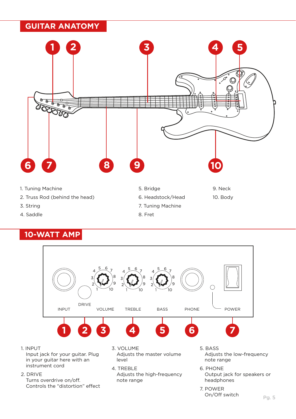# **GUITAR ANATOMY**



4. Saddle

# **10-WATT AMP**



Pg. 5